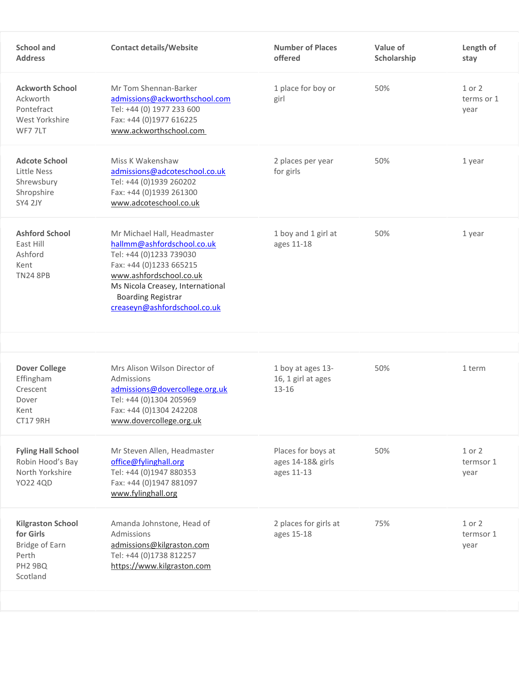| <b>School and</b><br><b>Address</b>                                                                             | <b>Contact details/Website</b>                                                                                                                                                                                                              | <b>Number of Places</b><br>offered                    | Value of<br>Scholarship | Length of<br>stay            |
|-----------------------------------------------------------------------------------------------------------------|---------------------------------------------------------------------------------------------------------------------------------------------------------------------------------------------------------------------------------------------|-------------------------------------------------------|-------------------------|------------------------------|
| <b>Ackworth School</b><br>Ackworth<br>Pontefract<br>West Yorkshire<br>WF77LT                                    | Mr Tom Shennan-Barker<br>admissions@ackworthschool.com<br>Tel: +44 (0) 1977 233 600<br>Fax: +44 (0)1977 616225<br>www.ackworthschool.com                                                                                                    | 1 place for boy or<br>girl                            | 50%                     | 1 or 2<br>terms or 1<br>year |
| <b>Adcote School</b><br>Little Ness<br>Shrewsbury<br>Shropshire<br>SY4 2JY                                      | Miss K Wakenshaw<br>admissions@adcoteschool.co.uk<br>Tel: +44 (0)1939 260202<br>Fax: +44 (0)1939 261300<br>www.adcoteschool.co.uk                                                                                                           | 2 places per year<br>for girls                        | 50%                     | 1 year                       |
| <b>Ashford School</b><br>East Hill<br>Ashford<br>Kent<br><b>TN24 8PB</b>                                        | Mr Michael Hall, Headmaster<br>hallmm@ashfordschool.co.uk<br>Tel: +44 (0)1233 739030<br>Fax: +44 (0)1233 665215<br>www.ashfordschool.co.uk<br>Ms Nicola Creasey, International<br><b>Boarding Registrar</b><br>creaseyn@ashfordschool.co.uk | 1 boy and 1 girl at<br>ages 11-18                     | 50%                     | 1 year                       |
|                                                                                                                 |                                                                                                                                                                                                                                             |                                                       |                         |                              |
| <b>Dover College</b><br>Effingham<br>Crescent<br>Dover<br>Kent<br>CT17 9RH                                      | Mrs Alison Wilson Director of<br>Admissions<br>admissions@dovercollege.org.uk<br>Tel: +44 (0)1304 205969<br>Fax: +44 (0)1304 242208<br>www.dovercollege.org.uk                                                                              | 1 boy at ages 13-<br>16, 1 girl at ages<br>$13 - 16$  | 50%                     | 1 term                       |
| <b>Fyling Hall School</b><br>Robin Hood's Bay<br>North Yorkshire<br>YO22 4QD                                    | Mr Steven Allen, Headmaster<br>office@fylinghall.org<br>Tel: +44 (0)1947 880353<br>Fax: +44 (0)1947 881097<br>www.fylinghall.org                                                                                                            | Places for boys at<br>ages 14-18& girls<br>ages 11-13 | 50%                     | 1 or 2<br>termsor 1<br>year  |
| <b>Kilgraston School</b><br>for Girls<br>Bridge of Earn<br>Perth<br>PH <sub>2</sub> 9B <sub>Q</sub><br>Scotland | Amanda Johnstone, Head of<br>Admissions<br>admissions@kilgraston.com<br>Tel: +44 (0)1738 812257<br>https://www.kilgraston.com                                                                                                               | 2 places for girls at<br>ages 15-18                   | 75%                     | 1 or 2<br>termsor 1<br>year  |
|                                                                                                                 |                                                                                                                                                                                                                                             |                                                       |                         |                              |